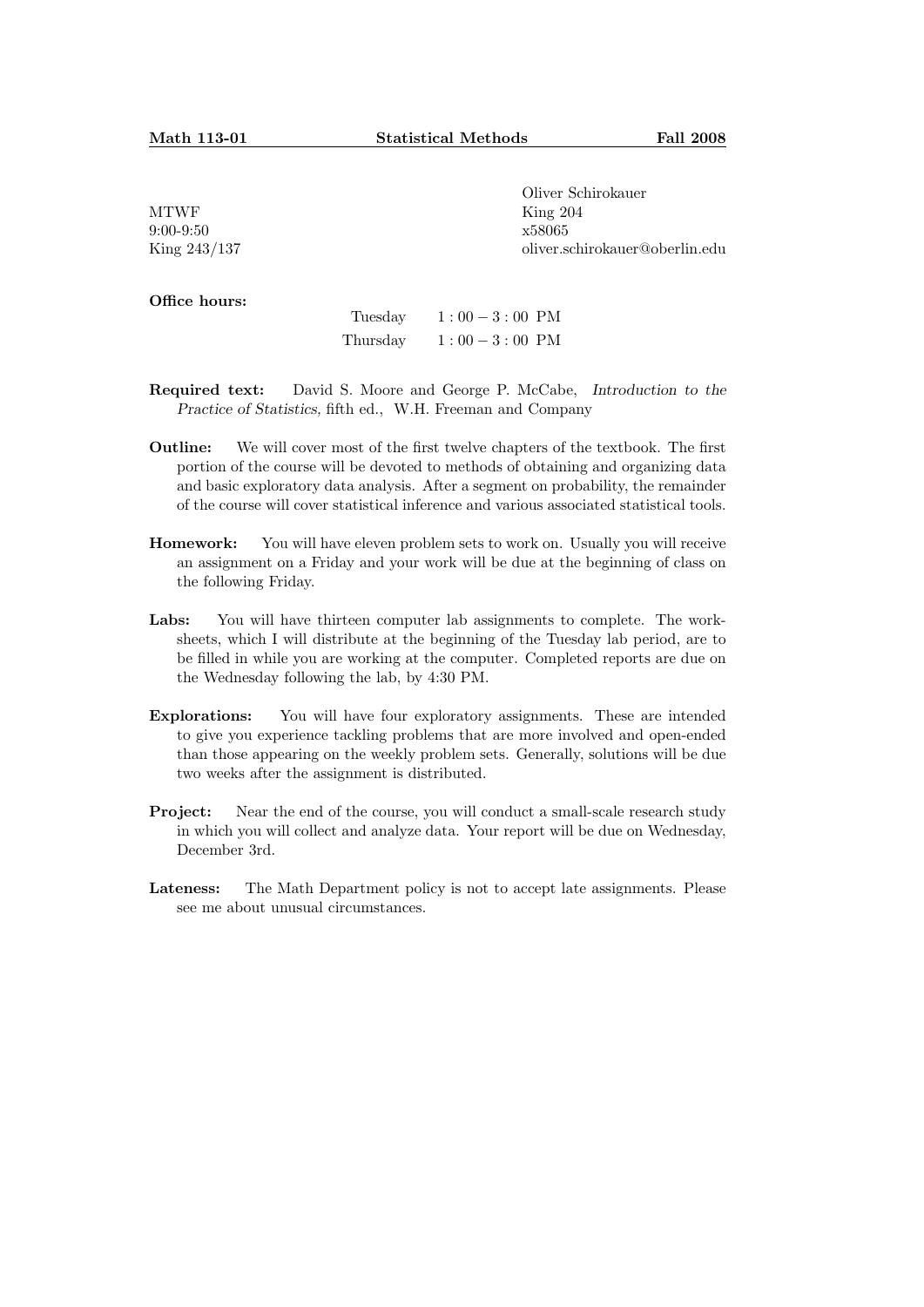MTWF 9:00-9:50 King 243/137 Oliver Schirokauer King 204 x58065 oliver.schirokauer@oberlin.edu

Office hours:

| Tuesday  | $1:00-3:00$ PM |
|----------|----------------|
| Thursday | $1:00-3:00$ PM |

- Required text: David S. Moore and George P. McCabe, Introduction to the Practice of Statistics, fifth ed., W.H. Freeman and Company
- Outline: We will cover most of the first twelve chapters of the textbook. The first portion of the course will be devoted to methods of obtaining and organizing data and basic exploratory data analysis. After a segment on probability, the remainder of the course will cover statistical inference and various associated statistical tools.
- Homework: You will have eleven problem sets to work on. Usually you will receive an assignment on a Friday and your work will be due at the beginning of class on the following Friday.
- Labs: You will have thirteen computer lab assignments to complete. The worksheets, which I will distribute at the beginning of the Tuesday lab period, are to be filled in while you are working at the computer. Completed reports are due on the Wednesday following the lab, by 4:30 PM.
- Explorations: You will have four exploratory assignments. These are intended to give you experience tackling problems that are more involved and open-ended than those appearing on the weekly problem sets. Generally, solutions will be due two weeks after the assignment is distributed.
- **Project:** Near the end of the course, you will conduct a small-scale research study in which you will collect and analyze data. Your report will be due on Wednesday, December 3rd.
- Lateness: The Math Department policy is not to accept late assignments. Please see me about unusual circumstances.